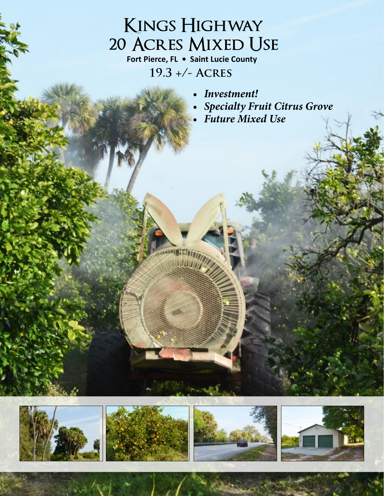## **Kings Highway 20 Acres Mixed Use**

**Fort Pierce, FL • Saint Lucie County 19.3 +/- Acres**

isala:C

- *• Investment!*
- *• Specialty Fruit Citrus Grove*
- *• Future Mixed Use*